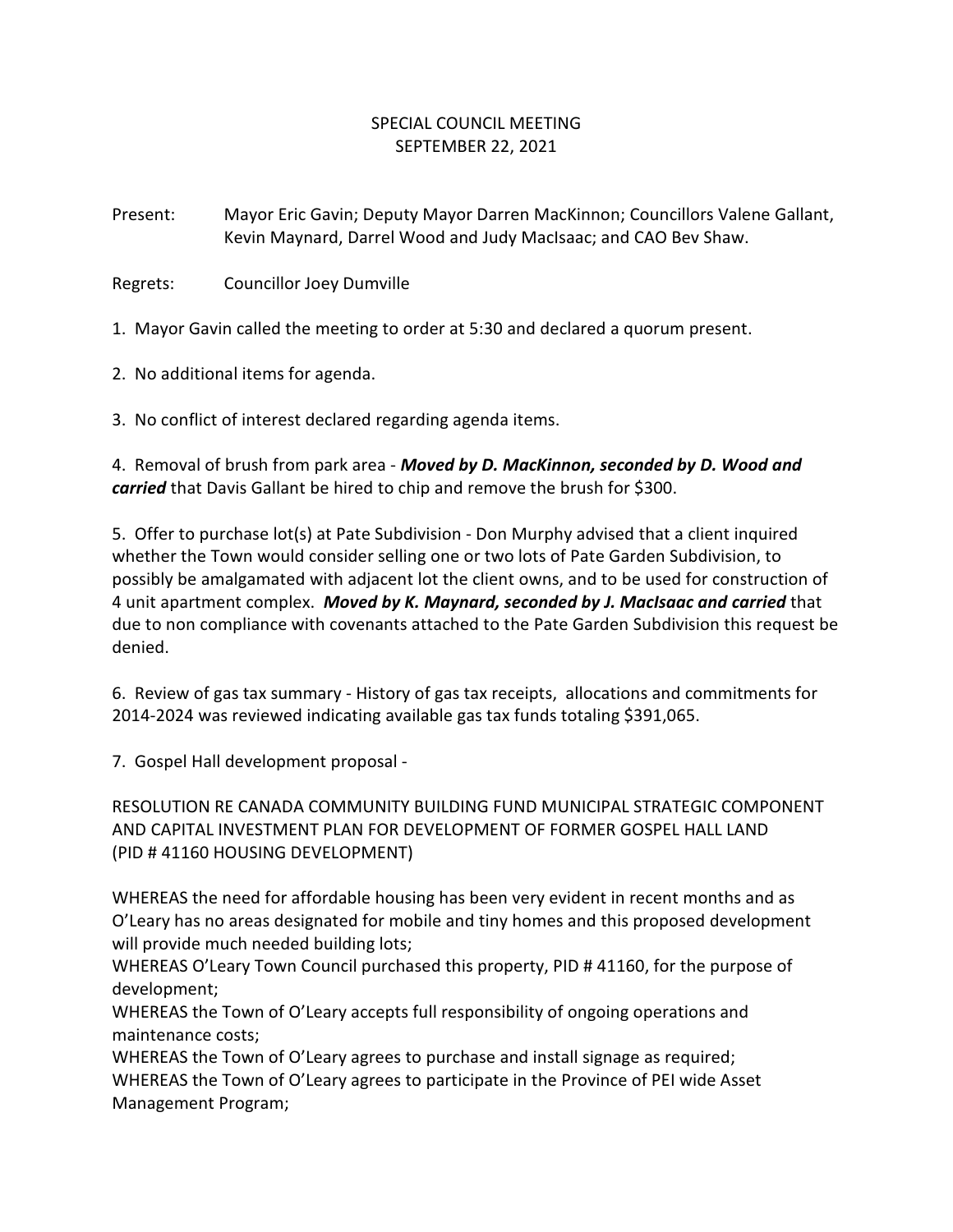## SPECIAL COUNCIL MEETING SEPTEMBER 22, 2021

Present: Mayor Eric Gavin; Deputy Mayor Darren MacKinnon; Councillors Valene Gallant, Kevin Maynard, Darrel Wood and Judy MacIsaac; and CAO Bev Shaw.

Regrets: Councillor Joey Dumville

1. Mayor Gavin called the meeting to order at 5:30 and declared a quorum present.

2. No additional items for agenda.

3. No conflict of interest declared regarding agenda items.

4. Removal of brush from park area - *Moved by D. MacKinnon, seconded by D. Wood and carried* that Davis Gallant be hired to chip and remove the brush for \$300.

5. Offer to purchase lot(s) at Pate Subdivision - Don Murphy advised that a client inquired whether the Town would consider selling one or two lots of Pate Garden Subdivision, to possibly be amalgamated with adjacent lot the client owns, and to be used for construction of 4 unit apartment complex. *Moved by K. Maynard, seconded by J. MacIsaac and carried* that due to non compliance with covenants attached to the Pate Garden Subdivision this request be denied.

6. Review of gas tax summary - History of gas tax receipts, allocations and commitments for 2014-2024 was reviewed indicating available gas tax funds totaling \$391,065.

7. Gospel Hall development proposal -

RESOLUTION RE CANADA COMMUNITY BUILDING FUND MUNICIPAL STRATEGIC COMPONENT AND CAPITAL INVESTMENT PLAN FOR DEVELOPMENT OF FORMER GOSPEL HALL LAND (PID # 41160 HOUSING DEVELOPMENT)

WHEREAS the need for affordable housing has been very evident in recent months and as O'Leary has no areas designated for mobile and tiny homes and this proposed development will provide much needed building lots;

WHEREAS O'Leary Town Council purchased this property, PID # 41160, for the purpose of development;

WHEREAS the Town of O'Leary accepts full responsibility of ongoing operations and maintenance costs;

WHEREAS the Town of O'Leary agrees to purchase and install signage as required; WHEREAS the Town of O'Leary agrees to participate in the Province of PEI wide Asset Management Program;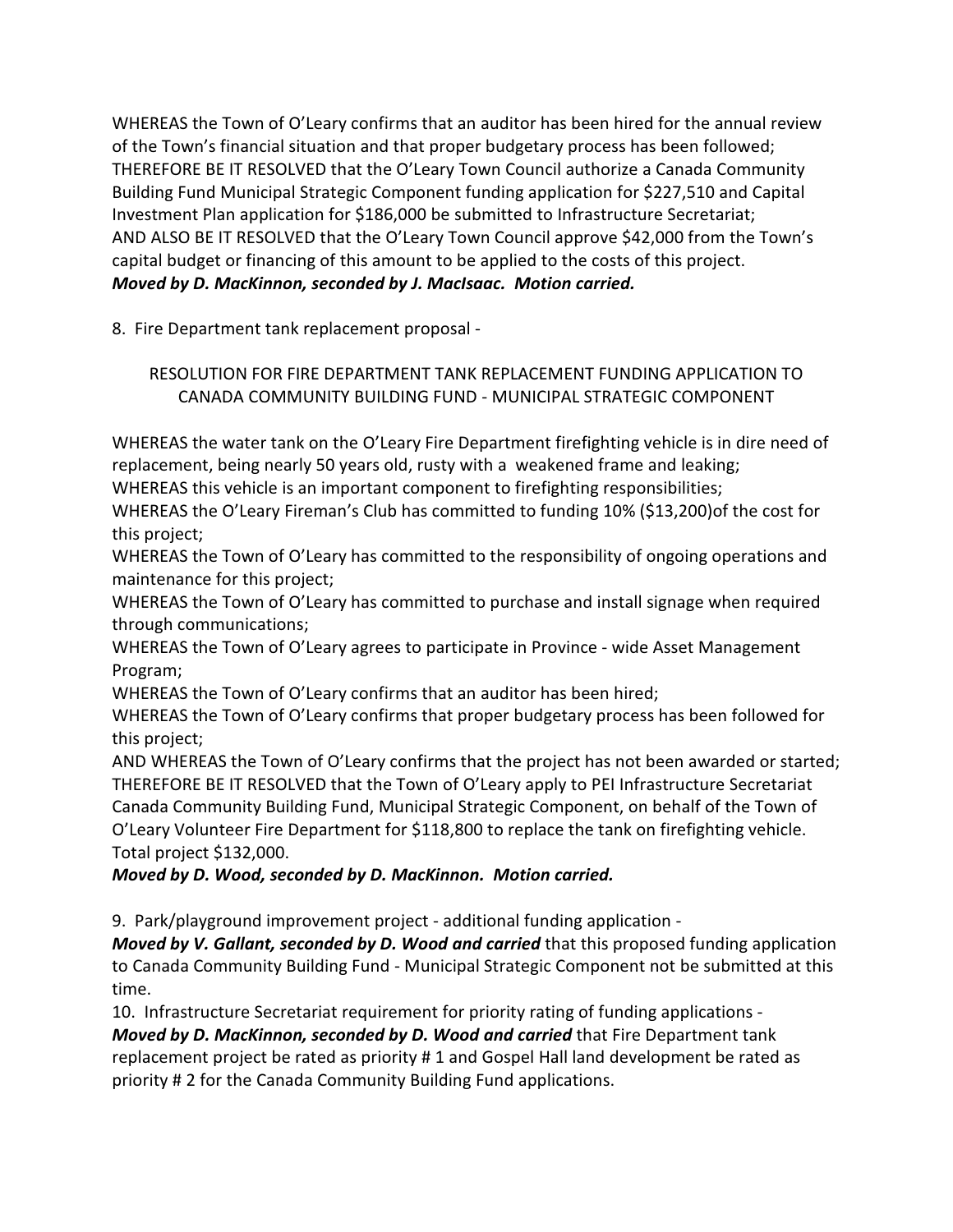WHEREAS the Town of O'Leary confirms that an auditor has been hired for the annual review of the Town's financial situation and that proper budgetary process has been followed; THEREFORE BE IT RESOLVED that the O'Leary Town Council authorize a Canada Community Building Fund Municipal Strategic Component funding application for \$227,510 and Capital Investment Plan application for \$186,000 be submitted to Infrastructure Secretariat; AND ALSO BE IT RESOLVED that the O'Leary Town Council approve \$42,000 from the Town's capital budget or financing of this amount to be applied to the costs of this project. *Moved by D. MacKinnon, seconded by J. MacIsaac. Motion carried.*

8. Fire Department tank replacement proposal -

## RESOLUTION FOR FIRE DEPARTMENT TANK REPLACEMENT FUNDING APPLICATION TO CANADA COMMUNITY BUILDING FUND - MUNICIPAL STRATEGIC COMPONENT

WHEREAS the water tank on the O'Leary Fire Department firefighting vehicle is in dire need of replacement, being nearly 50 years old, rusty with a weakened frame and leaking;

WHEREAS this vehicle is an important component to firefighting responsibilities;

WHEREAS the O'Leary Fireman's Club has committed to funding 10% (\$13,200)of the cost for this project;

WHEREAS the Town of O'Leary has committed to the responsibility of ongoing operations and maintenance for this project;

WHEREAS the Town of O'Leary has committed to purchase and install signage when required through communications;

WHEREAS the Town of O'Leary agrees to participate in Province - wide Asset Management Program;

WHEREAS the Town of O'Leary confirms that an auditor has been hired;

WHEREAS the Town of O'Leary confirms that proper budgetary process has been followed for this project;

AND WHEREAS the Town of O'Leary confirms that the project has not been awarded or started; THEREFORE BE IT RESOLVED that the Town of O'Leary apply to PEI Infrastructure Secretariat Canada Community Building Fund, Municipal Strategic Component, on behalf of the Town of O'Leary Volunteer Fire Department for \$118,800 to replace the tank on firefighting vehicle. Total project \$132,000.

## *Moved by D. Wood, seconded by D. MacKinnon. Motion carried.*

9. Park/playground improvement project - additional funding application -

*Moved by V. Gallant, seconded by D. Wood and carried* that this proposed funding application to Canada Community Building Fund - Municipal Strategic Component not be submitted at this time.

10. Infrastructure Secretariat requirement for priority rating of funding applications -

*Moved by D. MacKinnon, seconded by D. Wood and carried* that Fire Department tank replacement project be rated as priority # 1 and Gospel Hall land development be rated as priority # 2 for the Canada Community Building Fund applications.